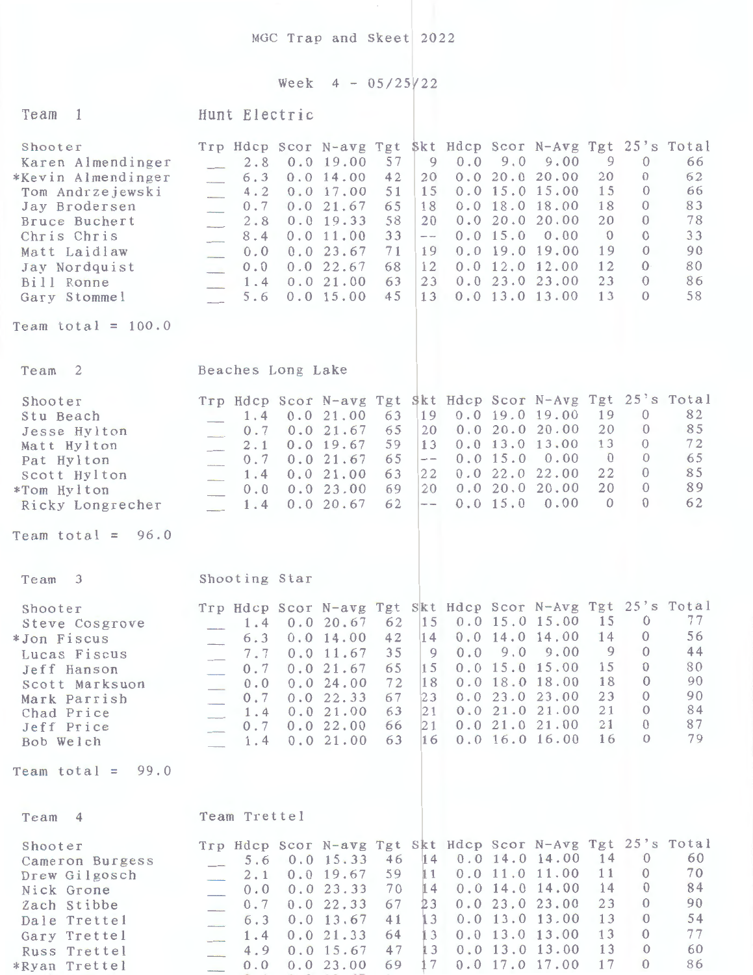MGC Trap and Skeet 2022

## Week  $4 - 05/25/22$

| Team<br>1                                                                                                                                                                                                      | Hunt Electric                                                                                                                                                                                                                                                                                                                                                                                                                                                                                                                                                                                                                                                                                                                  |                                                                                 |     |                      |                                                                                                                                                                                                          |                                                                     |                                                                                                                           |                                                          |
|----------------------------------------------------------------------------------------------------------------------------------------------------------------------------------------------------------------|--------------------------------------------------------------------------------------------------------------------------------------------------------------------------------------------------------------------------------------------------------------------------------------------------------------------------------------------------------------------------------------------------------------------------------------------------------------------------------------------------------------------------------------------------------------------------------------------------------------------------------------------------------------------------------------------------------------------------------|---------------------------------------------------------------------------------|-----|----------------------|----------------------------------------------------------------------------------------------------------------------------------------------------------------------------------------------------------|---------------------------------------------------------------------|---------------------------------------------------------------------------------------------------------------------------|----------------------------------------------------------|
| Shooter<br>Karen Almendinger<br>*Kevin Almendinger<br>Tom Andrzejewski<br>Jay Brodersen<br>Bruce Buchert<br>Chris Chris<br>Matt Laidlaw<br>Jay Nordquist<br>Bill Ronne<br>Gary Stommel<br>Team total = $100.0$ | Trp Hdcp Scor N-avg Tgt<br>57<br>2.8<br>0.019.00<br>6.3<br>0.014.00<br>42<br>51<br>4.2<br>0.017.00<br>0.021.67<br>0.7<br>65<br>0.0 19.33<br>58<br>2.8<br>$\overline{\phantom{a}}$<br>0.011.00<br>33<br>8.4<br>$\frac{1}{2} \sum_{i=1}^{n} \frac{1}{2} \sum_{j=1}^{n} \frac{1}{2} \sum_{j=1}^{n} \frac{1}{2} \sum_{j=1}^{n} \frac{1}{2} \sum_{j=1}^{n} \frac{1}{2} \sum_{j=1}^{n} \frac{1}{2} \sum_{j=1}^{n} \frac{1}{2} \sum_{j=1}^{n} \frac{1}{2} \sum_{j=1}^{n} \frac{1}{2} \sum_{j=1}^{n} \frac{1}{2} \sum_{j=1}^{n} \frac{1}{2} \sum_{j=1}^{n} \frac{1}{2} \sum_{j=1}^{n$<br>71<br>0.023.67<br>0.0<br>0.022.67<br>68<br>0.0<br>$\overline{\phantom{a}}$<br>63<br>0.021.00<br>1.4<br>$\frac{1}{2}$<br>0.015.00<br>45<br>5.6 | $\overline{9}$<br>20<br>15<br>18<br>20<br>$\frac{1}{2}$<br>19<br>12<br>23<br>13 | 0.0 | 9.0<br>0.0 15.0      | Skt Hdcp Scor N-Avg Tgt 25's Total<br>9.00<br>0.0 20.0 20.00<br>$0.0$ 15.0 15.00<br>$0.0$ 18.0 18.00<br>0.020.020.00<br>0.00<br>$0.0$ 19.0 19.00<br>$0.0$ 12.0 12.00<br>0.023.023.00<br>$0.0$ 13.0 13.00 | 9<br>20<br>15<br>18<br>20<br>$\overline{0}$<br>19<br>12<br>23<br>13 | $\mathcal{O}$<br>$\Omega$<br>$\theta$<br>$\Omega$<br>$\Omega$<br>$\Omega$<br>$\Omega$<br>$\Omega$<br>$\theta$<br>$\Omega$ | 66<br>62<br>66<br>83<br>78<br>33<br>90<br>80<br>86<br>58 |
|                                                                                                                                                                                                                |                                                                                                                                                                                                                                                                                                                                                                                                                                                                                                                                                                                                                                                                                                                                |                                                                                 |     |                      |                                                                                                                                                                                                          |                                                                     |                                                                                                                           |                                                          |
| Team <sub>2</sub>                                                                                                                                                                                              | Beaches Long Lake                                                                                                                                                                                                                                                                                                                                                                                                                                                                                                                                                                                                                                                                                                              |                                                                                 |     |                      |                                                                                                                                                                                                          |                                                                     |                                                                                                                           |                                                          |
| Shooter<br>Stu Beach<br>Jesse Hylton<br>Matt Hylton<br>Pat Hylton<br>Scott Hylton<br>*Tom Hylton<br>Ricky Longrecher                                                                                           | Trp Hdcp Scor N-avg Tgt Skt Hdcp Scor N-Avg Tgt 25's Total<br>0.021.00<br>63<br>1.4<br>65<br>0.021.67<br>0.7<br>$\frac{1}{2}$<br>0.019.67<br>59<br>2.1<br>65<br>0.021.67<br>0.7<br>63<br>0.021.00<br>1.4<br>$\overline{\phantom{a}}$<br>0.023.00<br>69<br>0.0<br>62<br>0.0 20.67<br>1.4<br>$\overline{\phantom{a}}$                                                                                                                                                                                                                                                                                                                                                                                                            | 19<br>20<br>13<br>$\qquad \qquad -$<br>22<br>20<br>$\sim$                       |     | 0.0 15.0<br>0.0 15.0 | 0.019.019.00<br>0.020.020.00<br>$0.0$ 13.0 13.00<br>0.00<br>0.022.022.00<br>0.020.020.00<br>0.00                                                                                                         | 19<br>20<br>13<br>$\overline{0}$<br>22<br>20<br>$\Omega$            | $\theta$<br>$\overline{0}$<br>$\theta$<br>$\overline{0}$<br>$\theta$<br>$\overline{0}$<br>$\Omega$                        | 82<br>85<br>72<br>65<br>85<br>89<br>62                   |
| Team total = $96.0$                                                                                                                                                                                            |                                                                                                                                                                                                                                                                                                                                                                                                                                                                                                                                                                                                                                                                                                                                |                                                                                 |     |                      |                                                                                                                                                                                                          |                                                                     |                                                                                                                           |                                                          |
| 3<br>Team                                                                                                                                                                                                      | Shooting Star                                                                                                                                                                                                                                                                                                                                                                                                                                                                                                                                                                                                                                                                                                                  |                                                                                 |     |                      |                                                                                                                                                                                                          |                                                                     |                                                                                                                           |                                                          |
| Shooter<br>Steve Cosgrove<br>*Jon Fiscus<br>Lucas Fiscus<br>Jeff Hanson<br>Scott Marksuon<br>Mark Parrish<br>Chad Price<br>Jeff Price<br>Bob Welch                                                             | Trp Hdcp Scor N-avg Tgt Skt Hdcp Scor N-Avg Tgt 25's Total<br>62<br>0.0 20.67<br>1.4<br>42<br>0.014.00<br>6.3<br>35<br>7.7<br>$0.0$ 11.67<br>0.7<br>0.021.67<br>65<br>0.024.00<br>72<br>0.0<br>0.7<br>0.0 22.33<br>67<br>0.021.00<br>63<br>1.4<br>0.022.00<br>66<br>0.7<br>63<br>0.021.00<br>1.4                                                                                                                                                                                                                                                                                                                                                                                                                               | 15<br>14<br>9<br>15<br>18<br>23<br>21<br>21<br>16                               |     |                      | $0.0$ 15.0 15.00<br>$0.0$ 14.0 14.00<br>$0.0$ 9.0 9.00<br>$0.0$ 15.0 15.00<br>$0.0$ 18.0 18.00<br>0.023.023.00<br>0.021.021.00<br>0.021.021.00<br>$0.0$ 16.0 16.00                                       | 15<br>14<br>$\overline{9}$<br>15<br>18<br>23<br>21<br>21<br>16      | $\mathbf{0}$<br>$\mathbf{0}$<br>$\theta$<br>$\theta$<br>$\theta$<br>$\Omega$<br>$\theta$<br>$\theta$<br>$\theta$          | 77<br>56<br>44<br>80<br>90<br>90<br>84<br>87<br>79       |
| 99.0<br>Team total $=$                                                                                                                                                                                         |                                                                                                                                                                                                                                                                                                                                                                                                                                                                                                                                                                                                                                                                                                                                |                                                                                 |     |                      |                                                                                                                                                                                                          |                                                                     |                                                                                                                           |                                                          |
| Team<br>$\overline{4}$                                                                                                                                                                                         | Team Trettel                                                                                                                                                                                                                                                                                                                                                                                                                                                                                                                                                                                                                                                                                                                   |                                                                                 |     |                      |                                                                                                                                                                                                          |                                                                     |                                                                                                                           |                                                          |
| Shooter<br>Cameron Burgess<br>Drew Gilgosch<br>Nick Grone<br>Zach Stibbe<br>Dale Trettel<br>Gary Trettel<br>Russ Trettel<br>*Ryan Trettel                                                                      | Trp Hdcp Scor N-avg Tgt Skt Hdcp Scor N-Avg Tgt 25's Total<br>46<br>5.6<br>0.0 15.33<br>$0.0$ 19.67<br>59<br>2.1<br>70<br>0.023.33<br>0.0<br>$\overline{\phantom{a}}$<br>67<br>0.7<br>0.0 22.33<br>$\overline{\phantom{a}}$<br>41<br>0.013.67<br>6.3<br>$\mathcal{L}$<br>0.0 21.33<br>64<br>1.4<br>47<br>0.015.67<br>4.9<br>0.023.00<br>69<br>$0.0$                                                                                                                                                                                                                                                                                                                                                                            | 14<br>11<br>14<br>23<br>13<br>13<br>13<br>17                                    |     |                      | $0.0$ 14.0 14.00<br>0.011.011.00<br>$0.0$ 14.0 14.00<br>0.023.023.00<br>$0.0$ 13.0 13.00<br>$0.0$ 13.0 13.00<br>$0.0$ 13.0 13.00<br>0.0 17.0 17.00                                                       | 14<br>11<br>14<br>23<br>13<br>13<br>13<br>17                        | $\theta$<br>$\theta$<br>$\theta$<br>$\theta$<br>$\theta$<br>$\theta$<br>$\theta$<br>$\theta$                              | 60<br>70<br>84<br>90<br>54<br>77<br>60<br>86             |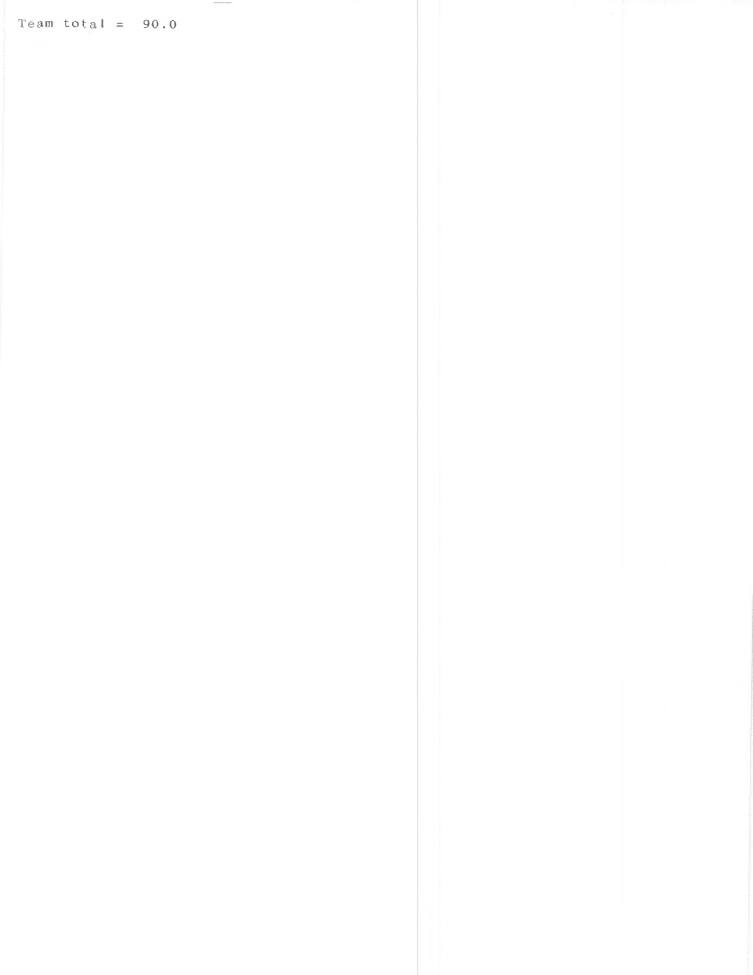Team total =  $90.0$ 

*INTERNATIONAL*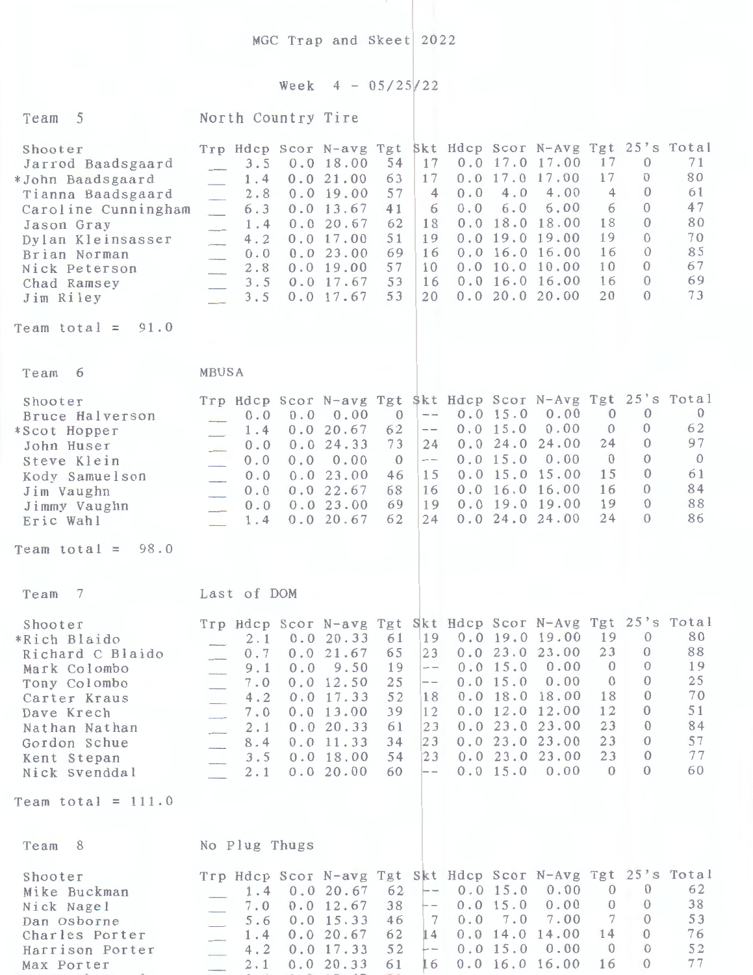MGC Trap and Skeet 2022

## Week  $4 - 05/25/22$

| 5<br>Team                                                                                                                                                                                                           | North Country Tire                                                                                                                                                                                                             |                                                                                                                                                                                                      |                                                                                                                       |            |                                                                                           |                                                                                                                                                                        |                                                                                  |                                                                                                                      |                                                                    |
|---------------------------------------------------------------------------------------------------------------------------------------------------------------------------------------------------------------------|--------------------------------------------------------------------------------------------------------------------------------------------------------------------------------------------------------------------------------|------------------------------------------------------------------------------------------------------------------------------------------------------------------------------------------------------|-----------------------------------------------------------------------------------------------------------------------|------------|-------------------------------------------------------------------------------------------|------------------------------------------------------------------------------------------------------------------------------------------------------------------------|----------------------------------------------------------------------------------|----------------------------------------------------------------------------------------------------------------------|--------------------------------------------------------------------|
| Shooter<br>Jarrod Baadsgaard<br>*John Baadsgaard<br>Tianna Baadsgaard<br>Caroline Cunningham<br>Jason Gray<br>Dylan Kleinsasser<br>Brian Norman<br>Nick Peterson<br>Chad Ramsey<br>Jim Riley<br>Team total = $91.0$ | Trp Hdcp Scor N-avg Tgt Skt Hdcp Scor N-Avg Tgt 25's Total<br>3.5<br>1.4<br>2.8<br>6.3<br>$\overline{\phantom{a}}$<br>1.4<br>4.2<br>$\frac{1}{2}$<br>0.0<br>$\overline{\phantom{a}}$<br>2.8<br>$\frac{1}{2}$<br>3.5<br>3.5     | 54<br>0.0 18.00<br>63<br>0.021.00<br>57<br>0.019.00<br>41<br>0.013.67<br>0.0 20.67<br>62<br>51<br>0.017.00<br>69<br>0.023.00<br>57<br>0.019.00<br>53<br>0.017.67<br>53<br>0.0 17.67                  | 17<br>17<br>$\overline{4}$<br>6<br>18<br>19<br>16<br>10<br>16<br>20                                                   | 0.0<br>0.0 | 4.0<br>6.0                                                                                | $0.0$ 17.0 17.00<br>$0.0$ 17.0 17.00<br>4.00<br>6.00<br>$0.0$ 18.0 18.00<br>$0.0$ 19.0 19.00<br>$0.0$ 16.0 16.00<br>0.0 10.0 10.00<br>$0.0$ 16.0 16.00<br>0.020.020.00 | 17<br>17<br>$\overline{4}$<br>6<br>18<br>19<br>16<br>10<br>16<br>20              | $\theta$<br>$\Omega$<br>$\Omega$<br>$\Omega$<br>$\Omega$<br>$\Omega$<br>$\Omega$<br>$\Omega$<br>$\theta$<br>$\Omega$ | 71<br>80<br>61<br>47<br>80<br>70<br>85<br>67<br>69<br>73           |
|                                                                                                                                                                                                                     |                                                                                                                                                                                                                                |                                                                                                                                                                                                      |                                                                                                                       |            |                                                                                           |                                                                                                                                                                        |                                                                                  |                                                                                                                      |                                                                    |
| Team<br>6                                                                                                                                                                                                           | MBUSA                                                                                                                                                                                                                          |                                                                                                                                                                                                      |                                                                                                                       |            |                                                                                           |                                                                                                                                                                        |                                                                                  |                                                                                                                      |                                                                    |
| Shooter<br>Bruce Halverson<br>*Scot Hopper<br>John Huser<br>Steve Klein<br>Kody Samuelson<br>Jim Vaughn<br>Jimmy Vaughn<br>Eric Wahl                                                                                | Trp Hdcp Scor N-avg Tgt \$kt Hdcp Scor N-Avg Tgt 25's Total<br>0.0<br>0.0<br>1.4<br>0.0<br>0.0<br>0.0<br>0.0<br>0.0<br>$\overline{\phantom{a}}$<br>0.0<br>$\overline{\phantom{a}}$<br>0.0<br>$\frac{1}{2}$<br>1.4<br>$\sim$ 10 | 0.00<br>$\overline{0}$<br>62<br>0.0 20.67<br>0.024.33<br>73<br>0.00<br>$\overline{0}$<br>23.00<br>46<br>0.022.67<br>68<br>0.023.00<br>69<br>62<br>0.0 20.67                                          | $\overline{\phantom{m}}$ $\overline{\phantom{m}}$<br>$-\,-$<br>24<br>$\overline{\phantom{0}}$<br>15<br>16<br>19<br>24 |            | 0.0 15.0<br>0.0 15.0<br>0.024.0<br>0.0 15.0                                               | 0.00<br>0.00<br>24.00<br>0.00<br>$0.0$ 15.0 15.00<br>0.016.016.00<br>$0.0$ 19.0 19.00<br>0.024.024.00                                                                  | $\overline{0}$<br>$\overline{0}$<br>24<br>$\overline{0}$<br>15<br>16<br>19<br>24 | $\theta$<br>$\theta$<br>$\theta$<br>$\Omega$<br>$\theta$<br>$\Omega$<br>$\theta$<br>$\Omega$                         | $\mathbf{0}$<br>62<br>97<br>$\overline{0}$<br>61<br>84<br>88<br>86 |
| 98.0<br>Team total $=$                                                                                                                                                                                              |                                                                                                                                                                                                                                |                                                                                                                                                                                                      |                                                                                                                       |            |                                                                                           |                                                                                                                                                                        |                                                                                  |                                                                                                                      |                                                                    |
| -7<br>Team                                                                                                                                                                                                          | Last of DOM                                                                                                                                                                                                                    |                                                                                                                                                                                                      |                                                                                                                       |            |                                                                                           |                                                                                                                                                                        |                                                                                  |                                                                                                                      |                                                                    |
| Shooter<br>*Rich Blaido<br>Richard C Blaido<br>Mark Colombo<br>Tony Colombo<br>Carter Kraus<br>Dave Krech<br>Nathan Nathan<br>Gordon Schue<br>Kent Stepan<br>Nick Svenddal                                          | Trp Hdcp Scor N-avg Tgt Skt Hdcp Scor N-Avg Tgt 25's Total<br>$2 \cdot 1$<br>0.0<br>9.1<br>7.0<br>4.2<br>7.0<br>2.1<br>8.4<br>3.5<br>2.1                                                                                       | 0.020.3361<br>$0.7 \quad 0.0 \quad 21.67 \quad 65$<br>9.50<br>19<br>25<br>0.0 12.50<br>52<br>0.0 17.33<br>39<br>0.0 13.00<br>0.0 20.33<br>61<br>0.0 11.33<br>34<br>54<br>0.018.00<br>60<br>0.0 20.00 | 23<br>$-$<br>$- -$<br>18<br>12<br>23<br>23<br>23<br>--                                                                |            | 0.0 15.0<br>0.0 15.0<br>0.0 18.0<br>0.0 12.0<br>0.023.0<br>0.023.0<br>0.023.0<br>0.0 15.0 | $19 \t 0.0 \t 19.0 \t 19.00$<br>0.023.023.00<br>0.00<br>0.00<br>18.00<br>12.00<br>23.00<br>23.00<br>23.00<br>0.00                                                      | 19<br>23<br>$\theta$<br>$\theta$<br>18<br>12<br>23<br>23<br>23<br>$\Omega$       | $\Omega$<br>$\theta$<br>$\theta$<br>$\theta$<br>$\theta$<br>$\theta$<br>$\Omega$<br>$\theta$<br>$\theta$<br>$\Omega$ | 80<br>88<br>19<br>25<br>70<br>51<br>84<br>57<br>77<br>60           |
| Team total = $111.0$                                                                                                                                                                                                |                                                                                                                                                                                                                                |                                                                                                                                                                                                      |                                                                                                                       |            |                                                                                           |                                                                                                                                                                        |                                                                                  |                                                                                                                      |                                                                    |
| 8<br>Team                                                                                                                                                                                                           | No Plug Thugs                                                                                                                                                                                                                  |                                                                                                                                                                                                      |                                                                                                                       |            |                                                                                           |                                                                                                                                                                        |                                                                                  |                                                                                                                      |                                                                    |
| Shooter<br>Mike Buckman<br>Nick Nagel<br>Dan Osborne<br>Charles Porter<br>Harrison Porter<br>Max Porter                                                                                                             | Trp Hdcp Scor N-avg Tgt Skt Hdcp Scor N-Avg Tgt 25's Total<br>1.4<br>7.0<br>5.6<br>1.4<br>4.2<br>2.1                                                                                                                           | 0.0 20.67<br>62<br>38<br>0.0 12.67<br>0.0 15.33<br>46<br>0.0 20.67<br>62<br>52<br>0.0 17.33<br>0.0 20.33<br>61                                                                                       | $--$<br>$- -$<br>7<br>14<br>$- -$<br>16                                                                               |            | 0.0 15.0<br>0.0 15.0<br>0.0 7.0<br>0.015.0                                                | 0.00<br>0.00<br>7.00<br>$0.0$ 14.0 14.00<br>0.00<br>$0.0$ 16.0 16.00                                                                                                   | $\Omega$<br>$\Omega$<br>7<br>14<br>$\theta$<br>16                                | $\theta$<br>$\theta$<br>$\Omega$<br>$\Omega$<br>$\Omega$<br>$\Omega$                                                 | 62<br>38<br>53<br>76<br>52<br>77                                   |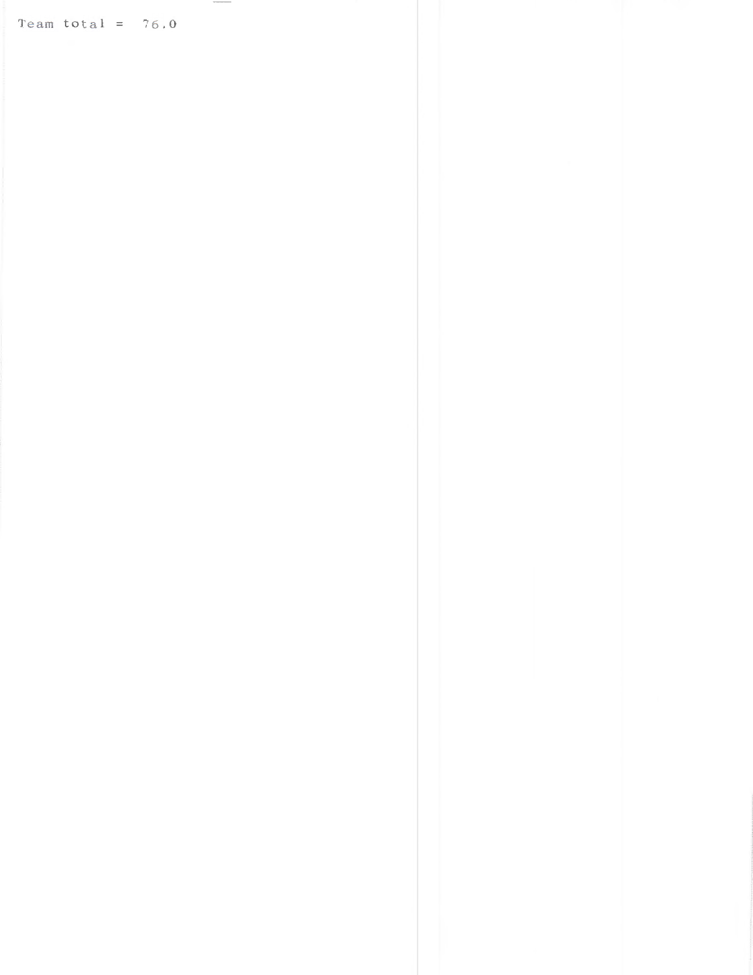Team total =  $76.0$ 

 $\sim$   $\sim$   $\sim$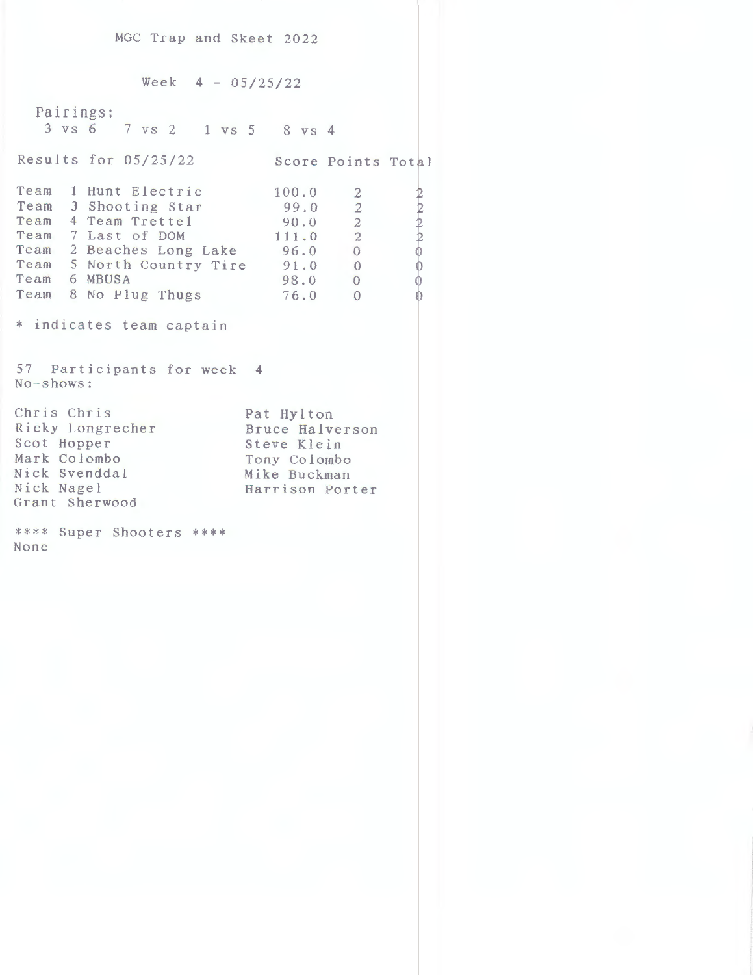MGC Trap and Skeet 2022 Week  $4 - 05/25/22$ Pairings: 3 vs 6 7 vs 2 l vs 5 8 VS 4 Results for 05/25/22 Score Points Total Team 1 Hunt Electric 100.0 2<br>Team 3 Shooting Star 99.0 2 Team 3 Shooting Star 99.0 2<br>Team 4 Team Trettel 90.0 2 k, Team 4 Team Trettel 90.0 2<br>
Team 7 Last of DOM 111.0 2 Team  $7$  Last of DOM  $111.0$  2  $\frac{2}{111 \cdot 6}$   $\frac{2}{2}$ <br>Team 2 Beaches Long Lake  $\frac{111 \cdot 6}{6}$   $\frac{2}{0}$ Team 5 North Country Tire 91.0 0 Team 6 MBUSA Team 8 No Plug Thugs \* indicates team captain 57 Participants for week 4 No-shows: Chris Chris Ricky Longrecher Scot Hopper Mark Colombo Nick Svenddal Nick Nagel Grant Sherwood \*\*\*\* Super Shooters \*\*\*\* None  $91.0 0$ <br>98.0 0 76.0 <sup>0</sup> Pat Hylton Bruce Halverson Steve Klein Tony Colombo Mike Buckman Harrison Porter

 $\frac{1}{2}$ 

e ') +' *Q* 

 $_{\mathbb{U}}$ 0  $\overline{0}$  $\mathbf{0}$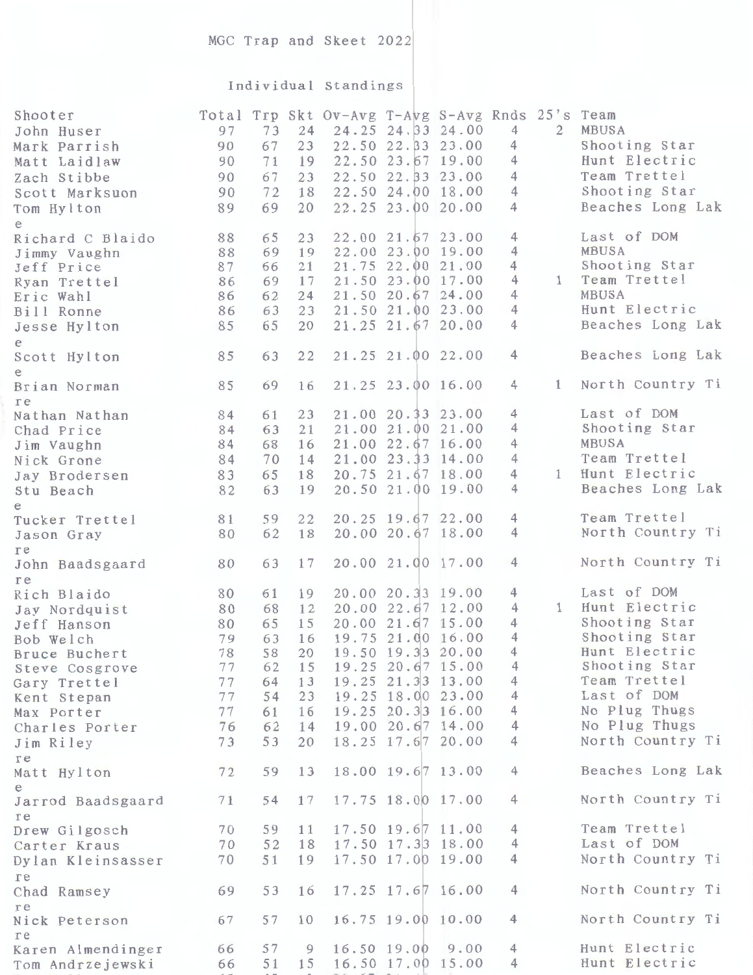## MGC Trap and Skeet 2022

## Individual Standings

| Shooter<br>John Huser<br>Mark Parrish | 97<br>90 | 73<br>67 | 24<br>23 | Total Trp Skt Ov-Avg T-Avg S-Avg Rnds 25's Team | 24.25 24.33 24.00<br>22.50 22.33 23.00 |      | $\overline{4}$<br>4 | 2            | MBUSA<br>Shooting Star        |
|---------------------------------------|----------|----------|----------|-------------------------------------------------|----------------------------------------|------|---------------------|--------------|-------------------------------|
| Matt Laidlaw                          | 90       | 71       | 19       |                                                 | 22.50 23.67 19.00                      |      | $\overline{4}$      |              | Hunt Electric                 |
| Zach Stibbe                           | 90       | 67       | 23       |                                                 | 22.50 22.33 23.00                      |      | $\overline{4}$      |              | Team Trettel                  |
| Scott Marksuon                        | 90       | 72       | 18       |                                                 | 22.50 24.00 18.00                      |      | $\overline{4}$      |              | Shooting Star                 |
| Tom Hylton                            | 89       | 69       | 20       |                                                 | 22.25 23.00 20.00                      |      | 4                   |              | Beaches Long Lak              |
| e                                     |          | 65       | 23       |                                                 | 22.00 21.67 23.00                      |      | $\overline{4}$      |              | Last of DOM                   |
| Richard C Blaido<br>Jimmy Vaughn      | 88<br>88 | 69       | 19       |                                                 | 22.00 23.00 19.00                      |      | $\overline{4}$      |              | MBUSA                         |
| Jeff Price                            | 87       | 66       | 21       |                                                 | 21.75 22.00 21.00                      |      | 4                   |              | Shooting Star                 |
| Ryan Trettel                          | 86       | 69       | 17       |                                                 | 21.50 23.00 17.00                      |      | $\overline{4}$      | 1            | Team Trettel                  |
| Eric Wahl                             | 86       | 62       | 24       |                                                 | 21.50 20.67 24.00                      |      | 4                   |              | MBUSA                         |
| Bill Ronne                            | 86       | 63       | 23       |                                                 | 21.50 21.00 23.00                      |      | $\overline{4}$      |              | Hunt Electric                 |
| Jesse Hylton                          | 85       | 65       | 20       |                                                 | 21.25 21.67 20.00                      |      | $\overline{4}$      |              | Beaches Long Lak              |
| e                                     |          |          |          |                                                 |                                        |      |                     |              |                               |
| Scott Hylton                          | 85       | 63       | 22       |                                                 | 21.25 21.00 22.00                      |      | 4                   |              | Beaches Long Lak              |
| e<br>Brian Norman                     | 85       | 69       | 16       |                                                 | 21.25 23.00 16.00                      |      | $\overline{4}$      | $\mathbf{1}$ | North Country Ti              |
| re                                    |          |          |          |                                                 |                                        |      |                     |              |                               |
| Nathan Nathan                         | 84       | 61       | 23       |                                                 | 21.00 20.33 23.00                      |      | 4                   |              | Last of DOM                   |
| Chad Price                            | 84       | 63       | 21       |                                                 | 21.00 21.00 21.00                      |      | $\overline{4}$      |              | Shooting Star                 |
| Jim Vaughn                            | 84       | 68       | 16       |                                                 | 21.00 22.67 16.00                      |      | 4                   |              | MBUSA                         |
| Nick Grone                            | 84       | 70       | 14       |                                                 | 21.00 23.33 14.00                      |      | $\overline{4}$      |              | Team Trettel                  |
| Jay Brodersen                         | 83       | 65       | 18       |                                                 | 20.75 21.67 18.00                      |      | $\overline{4}$      | $1 -$        | Hunt Electric                 |
| Stu Beach                             | 82       | 63       | 19       |                                                 | 20.50 21.00 19.00                      |      | $\overline{4}$      |              | Beaches Long Lak              |
| e                                     | 81       | 59       | 22       |                                                 | 20.25 19.67 22.00                      |      | 4                   |              | Team Trettel                  |
| Tucker Trettel<br>Jason Gray          | 80       | 62       | 18       |                                                 | 20.00 20.67 18.00                      |      | $\overline{4}$      |              | North Country Ti              |
| re                                    |          |          |          |                                                 |                                        |      |                     |              |                               |
| John Baadsgaard                       | 80       | 63       | 17       |                                                 | 20.00 21.00 17.00                      |      | $\overline{4}$      |              | North Country Ti              |
| re                                    |          |          |          |                                                 |                                        |      |                     |              |                               |
| Rich Blaido                           | 80       | 61       | 19       |                                                 | 20.00 20.33 19.00                      |      | $\overline{4}$      |              | Last of DOM                   |
| Jay Nordquist                         | 80       | 68       | 12       |                                                 | 20.00 22.67 12.00                      |      | $\overline{4}$      |              | 1 Hunt Electric               |
| Jeff Hanson                           | 80       | 65       | 15       |                                                 | 20.00 21.67 15.00                      |      | $\overline{4}$      |              | Shooting Star                 |
| Bob Welch                             | 79       | 63       | 16       |                                                 | 19.75 21.00 16.00                      |      | $\overline{4}$      |              | Shooting Star                 |
| Bruce Buchert                         | 78       | 58       | 20       |                                                 | 19.50 19.33 20.00                      |      | 4                   |              | Hunt Electric                 |
| Steve Cosgrove                        | 77       | 62       | 15       |                                                 | 19.25 20.67 15.00                      |      | 4                   |              | Shooting Star<br>Team Trettel |
| Gary Trettel                          | 77       | 64       | 13       |                                                 | 19.25 21.33 13.00<br>19.25 18.00 23.00 |      | 4<br>$\overline{4}$ |              | Last of DOM                   |
| Kent Stepan                           | 77<br>77 | 54       | 23       |                                                 | 19.25 20.33 16.00                      |      | $\overline{4}$      |              | No Plug Thugs                 |
| Max Porter                            | 76       | 61<br>62 | 16<br>14 |                                                 | 19.00 20.67 14.00                      |      | $\overline{4}$      |              | No Plug Thugs                 |
| Charles Porter<br>Jim Riley           | 73       | 53       | 20       |                                                 | 18.25 17.67 20.00                      |      | 4                   |              | North Country Ti              |
| re                                    |          |          |          |                                                 |                                        |      |                     |              |                               |
| Matt Hylton                           | 72       | 59       | 13       |                                                 | 18.00 19.67 13.00                      |      | 4                   |              | Beaches Long Lak              |
| e                                     |          |          |          |                                                 |                                        |      |                     |              |                               |
| Jarrod Baadsgaard                     | 71       | 54       | 17       |                                                 | 17.75 18.00 17.00                      |      | $\overline{4}$      |              | North Country Ti              |
| re                                    |          |          |          |                                                 |                                        |      |                     |              |                               |
| Drew Gilgosch                         | 70       | 59       | 11       |                                                 | 17.50 19.67 11.00                      |      | $\overline{4}$      |              | Team Trettel                  |
| Carter Kraus                          | 70       | 52       | 18       |                                                 | 17.50 17.3 18.00                       |      | $\overline{4}$      |              | Last of DOM                   |
| Dylan Kleinsasser                     | 70       | 51       | 19       |                                                 | 17.50 17.00 19.00                      |      | $\overline{4}$      |              | North Country Ti              |
| re                                    | 69       | 53       | 16       |                                                 | 17.25 17.67 16.00                      |      | 4                   |              | North Country Ti              |
| Chad Ramsey<br>re                     |          |          |          |                                                 |                                        |      |                     |              |                               |
| Nick Peterson                         | 67       | 57       | 10       |                                                 | 16.75 19.00 10.00                      |      | 4                   |              | North Country Ti              |
| re                                    |          |          |          |                                                 |                                        |      |                     |              |                               |
| Karen Almendinger                     | 66       | 57       | 9        |                                                 | $16.50$ $19.00$                        | 9,00 | 4                   |              | Hunt Electric                 |
| Tom Andrzejewski                      | 66       | 51       | 15       |                                                 | 16.50 17.00 15.00                      |      | 4                   |              | Hunt Electric                 |